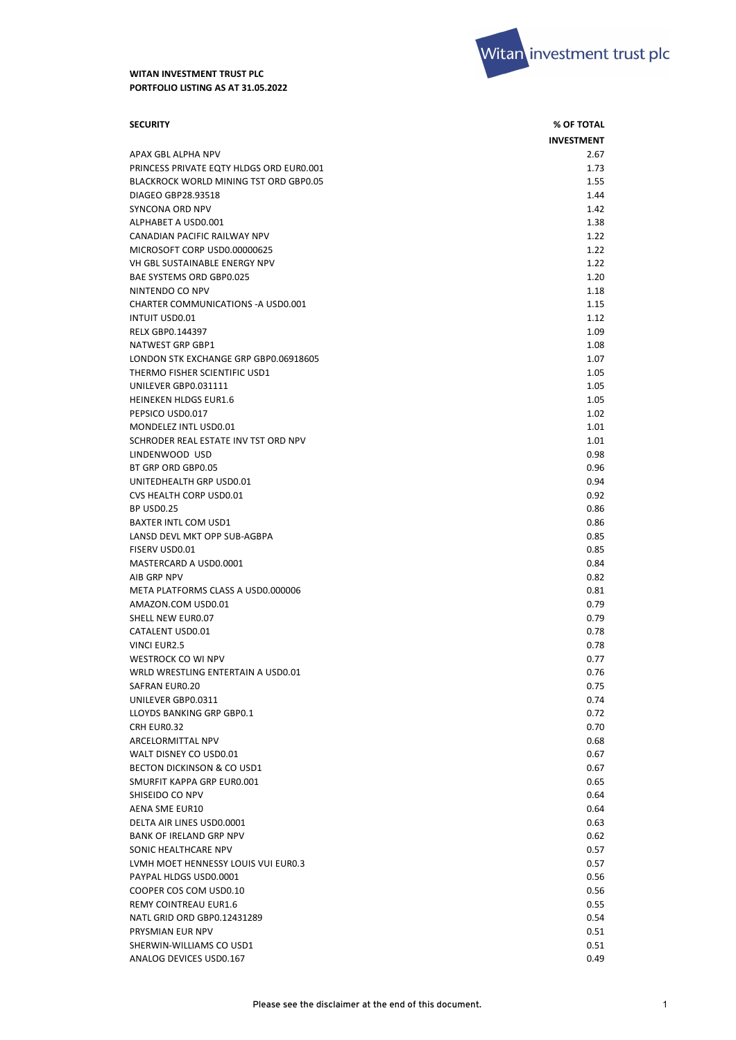| CURIT |
|-------|
|       |

| <b>SECURITY</b>                                     | <b>% OF TOTAL</b> |
|-----------------------------------------------------|-------------------|
|                                                     | <b>INVESTMENT</b> |
| APAX GBL ALPHA NPV                                  | 2.67              |
| PRINCESS PRIVATE EQTY HLDGS ORD EUR0.001            | 1.73              |
| <b>BLACKROCK WORLD MINING TST ORD GBP0.05</b>       | 1.55              |
| DIAGEO GBP28.93518                                  | 1.44              |
| SYNCONA ORD NPV                                     | 1.42              |
| ALPHABET A USD0.001                                 | 1.38              |
| CANADIAN PACIFIC RAILWAY NPV                        | 1.22              |
| MICROSOFT CORP USD0.00000625                        | 1.22              |
| VH GBL SUSTAINABLE ENERGY NPV                       | 1.22              |
| BAE SYSTEMS ORD GBP0.025                            | 1.20              |
| NINTENDO CO NPV                                     | 1.18              |
| <b>CHARTER COMMUNICATIONS -A USD0.001</b>           | 1.15              |
| <b>INTUIT USD0.01</b>                               | 1.12              |
| <b>RELX GBP0.144397</b>                             | 1.09              |
| NATWEST GRP GBP1                                    | 1.08              |
| LONDON STK EXCHANGE GRP GBP0.06918605               | 1.07              |
| THERMO FISHER SCIENTIFIC USD1                       | 1.05              |
| UNILEVER GBP0.031111                                | 1.05              |
| <b>HEINEKEN HLDGS EUR1.6</b>                        | 1.05              |
| PEPSICO USD0.017                                    | 1.02              |
| MONDELEZ INTL USD0.01                               | 1.01              |
| SCHRODER REAL ESTATE INV TST ORD NPV                | 1.01              |
| LINDENWOOD USD                                      | 0.98              |
| BT GRP ORD GBP0.05                                  | 0.96              |
| UNITEDHEALTH GRP USD0.01                            | 0.94              |
| <b>CVS HEALTH CORP USD0.01</b>                      | 0.92              |
| BP USD0.25                                          | 0.86              |
| <b>BAXTER INTL COM USD1</b>                         | 0.86              |
| LANSD DEVL MKT OPP SUB-AGBPA                        | 0.85              |
| FISERV USD0.01                                      | 0.85              |
| MASTERCARD A USD0.0001                              | 0.84              |
| AIB GRP NPV                                         | 0.82              |
| META PLATFORMS CLASS A USD0.000006                  | 0.81              |
| AMAZON.COM USD0.01                                  | 0.79              |
| SHELL NEW EURO.07                                   | 0.79              |
| CATALENT USD0.01                                    | 0.78              |
| VINCI EUR2.5                                        | 0.78              |
| WESTROCK CO WI NPV                                  | 0.77              |
| WRLD WRESTLING ENTERTAIN A USD0.01                  | 0.76              |
| SAFRAN EURO.20                                      | 0.75              |
| UNILEVER GBP0.0311                                  | 0.74              |
| LLOYDS BANKING GRP GBP0.1                           | 0.72              |
| CRH EURO.32                                         | 0.70              |
| ARCELORMITTAL NPV                                   | 0.68              |
| WALT DISNEY CO USD0.01                              | 0.67              |
| BECTON DICKINSON & CO USD1                          | 0.67              |
| SMURFIT KAPPA GRP EUR0.001                          | 0.65              |
| SHISEIDO CO NPV                                     | 0.64              |
| <b>AENA SME EUR10</b>                               | 0.64              |
| DELTA AIR LINES USD0.0001                           | 0.63              |
| BANK OF IRELAND GRP NPV                             | 0.62              |
| SONIC HEALTHCARE NPV                                | 0.57              |
| LVMH MOET HENNESSY LOUIS VUI EUR0.3                 | 0.57              |
| PAYPAL HLDGS USD0.0001                              | 0.56              |
| COOPER COS COM USD0.10                              | 0.56              |
| REMY COINTREAU EUR1.6                               | 0.55              |
| NATL GRID ORD GBP0.12431289                         | 0.54              |
| PRYSMIAN EUR NPV                                    | 0.51              |
| SHERWIN-WILLIAMS CO USD1<br>ANALOG DEVICES USD0.167 | 0.51<br>0.49      |
|                                                     |                   |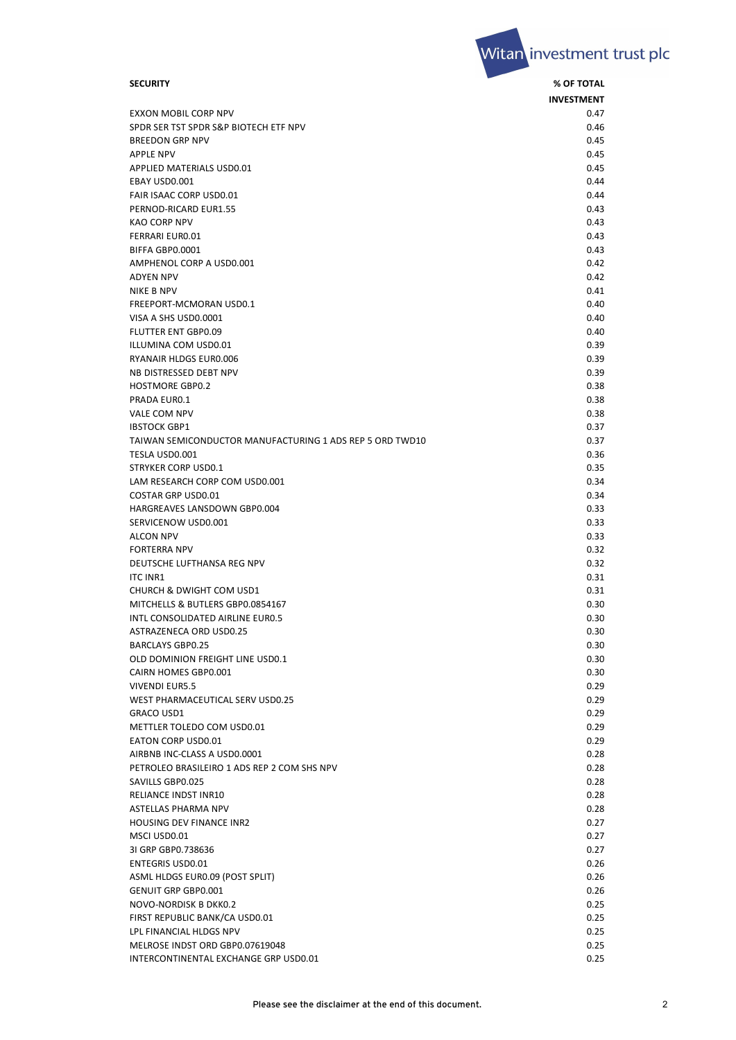Witan investment trust plc

| <b>SECURITY</b>                                                            | <b>% OF TOTAL</b> |
|----------------------------------------------------------------------------|-------------------|
|                                                                            | <b>INVESTMENT</b> |
| <b>EXXON MOBIL CORP NPV</b>                                                | 0.47              |
| SPDR SER TST SPDR S&P BIOTECH ETF NPV                                      | 0.46              |
| <b>BREEDON GRP NPV</b>                                                     | 0.45              |
| <b>APPLE NPV</b>                                                           | 0.45              |
| APPLIED MATERIALS USD0.01                                                  | 0.45              |
| EBAY USD0.001                                                              | 0.44              |
| <b>FAIR ISAAC CORP USD0.01</b>                                             | 0.44              |
| PERNOD-RICARD EUR1.55<br><b>KAO CORP NPV</b>                               | 0.43              |
| <b>FERRARI EURO.01</b>                                                     | 0.43<br>0.43      |
| BIFFA GBP0.0001                                                            | 0.43              |
| AMPHENOL CORP A USD0.001                                                   | 0.42              |
| <b>ADYEN NPV</b>                                                           | 0.42              |
| <b>NIKE B NPV</b>                                                          | 0.41              |
| FREEPORT-MCMORAN USD0.1                                                    | 0.40              |
| VISA A SHS USD0.0001                                                       | 0.40              |
| FLUTTER ENT GBP0.09                                                        | 0.40              |
| ILLUMINA COM USD0.01                                                       | 0.39              |
| RYANAIR HLDGS EUR0.006                                                     | 0.39              |
| NB DISTRESSED DEBT NPV                                                     | 0.39              |
| <b>HOSTMORE GBP0.2</b>                                                     | 0.38              |
| PRADA EURO.1                                                               | 0.38              |
| VALE COM NPV                                                               | 0.38              |
| <b>IBSTOCK GBP1</b>                                                        | 0.37              |
| TAIWAN SEMICONDUCTOR MANUFACTURING 1 ADS REP 5 ORD TWD10<br>TESLA USD0.001 | 0.37<br>0.36      |
| STRYKER CORP USD0.1                                                        | 0.35              |
| LAM RESEARCH CORP COM USD0.001                                             | 0.34              |
| <b>COSTAR GRP USD0.01</b>                                                  | 0.34              |
| HARGREAVES LANSDOWN GBP0.004                                               | 0.33              |
| SERVICENOW USD0.001                                                        | 0.33              |
| <b>ALCON NPV</b>                                                           | 0.33              |
| <b>FORTERRA NPV</b>                                                        | 0.32              |
| DEUTSCHE LUFTHANSA REG NPV                                                 | 0.32              |
| <b>ITC INR1</b>                                                            | 0.31              |
| CHURCH & DWIGHT COM USD1                                                   | 0.31              |
| MITCHELLS & BUTLERS GBP0.0854167                                           | 0.30              |
| INTL CONSOLIDATED AIRLINE EURO.5                                           | 0.30              |
| ASTRAZENECA ORD USD0.25                                                    | 0.30              |
| <b>BARCLAYS GBP0.25</b><br>OLD DOMINION FREIGHT LINE USD0.1                | 0.30<br>0.30      |
| CAIRN HOMES GBP0.001                                                       | 0.30              |
| <b>VIVENDI EUR5.5</b>                                                      | 0.29              |
| WEST PHARMACEUTICAL SERV USD0.25                                           | 0.29              |
| <b>GRACO USD1</b>                                                          | 0.29              |
| METTLER TOLEDO COM USD0.01                                                 | 0.29              |
| EATON CORP USD0.01                                                         | 0.29              |
| AIRBNB INC-CLASS A USD0.0001                                               | 0.28              |
| PETROLEO BRASILEIRO 1 ADS REP 2 COM SHS NPV                                | 0.28              |
| SAVILLS GBP0.025                                                           | 0.28              |
| RELIANCE INDST INR10                                                       | 0.28              |
| ASTELLAS PHARMA NPV                                                        | 0.28              |
| <b>HOUSING DEV FINANCE INR2</b>                                            | 0.27              |
| MSCI USD0.01                                                               | 0.27              |
| 31 GRP GBP0.738636                                                         | 0.27<br>0.26      |
| <b>ENTEGRIS USD0.01</b><br>ASML HLDGS EURO.09 (POST SPLIT)                 | 0.26              |
| <b>GENUIT GRP GBP0.001</b>                                                 | 0.26              |
| NOVO-NORDISK B DKK0.2                                                      | 0.25              |
| FIRST REPUBLIC BANK/CA USD0.01                                             | 0.25              |
| LPL FINANCIAL HLDGS NPV                                                    | 0.25              |
| MELROSE INDST ORD GBP0.07619048                                            | 0.25              |
| INTERCONTINENTAL EXCHANGE GRP USD0.01                                      | 0.25              |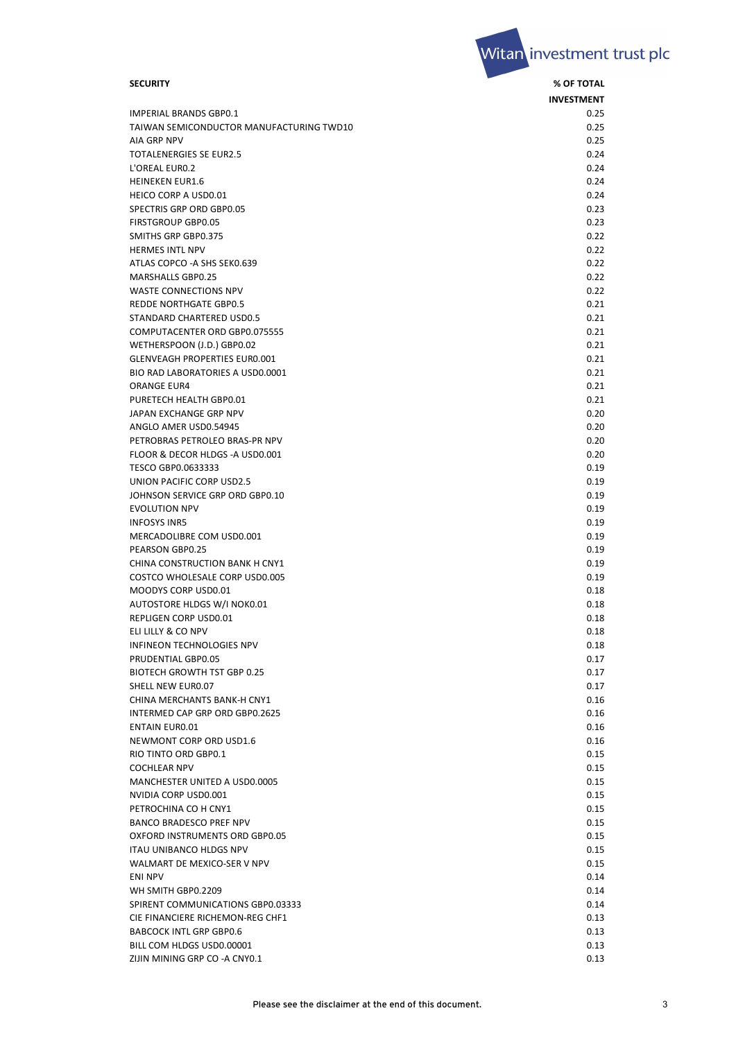Witan investment trust plc

| <b>SECURITY</b>                                      | % OF TOTAL        |
|------------------------------------------------------|-------------------|
|                                                      | <b>INVESTMENT</b> |
| IMPERIAL BRANDS GBP0.1                               | 0.25              |
| TAIWAN SEMICONDUCTOR MANUFACTURING TWD10             | 0.25              |
| AIA GRP NPV                                          | 0.25              |
| <b>TOTALENERGIES SE EUR2.5</b>                       | 0.24              |
| L'OREAL EURO.2                                       | 0.24              |
| <b>HEINEKEN EUR1.6</b>                               | 0.24              |
| HEICO CORP A USD0.01                                 | 0.24              |
| SPECTRIS GRP ORD GBP0.05                             | 0.23              |
| <b>FIRSTGROUP GBP0.05</b>                            | 0.23              |
| SMITHS GRP GBP0.375                                  | 0.22              |
| <b>HERMES INTL NPV</b>                               | 0.22              |
| ATLAS COPCO - A SHS SEK0.639                         | 0.22              |
| <b>MARSHALLS GBP0.25</b>                             | 0.22              |
| <b>WASTE CONNECTIONS NPV</b>                         | 0.22              |
| <b>REDDE NORTHGATE GBP0.5</b>                        | 0.21              |
| STANDARD CHARTERED USD0.5                            | 0.21              |
| COMPUTACENTER ORD GBP0.075555                        | 0.21              |
| WETHERSPOON (J.D.) GBP0.02                           | 0.21              |
| <b>GLENVEAGH PROPERTIES EURO.001</b>                 | 0.21              |
| <b>BIO RAD LABORATORIES A USD0.0001</b>              | 0.21              |
| ORANGE EUR4                                          | 0.21              |
| PURETECH HEALTH GBP0.01                              | 0.21              |
| JAPAN EXCHANGE GRP NPV                               | 0.20              |
| ANGLO AMER USD0.54945                                | 0.20              |
| PETROBRAS PETROLEO BRAS-PR NPV                       | 0.20              |
| FLOOR & DECOR HLDGS -A USD0.001                      | 0.20              |
| TESCO GBP0.0633333                                   | 0.19              |
| UNION PACIFIC CORP USD2.5                            | 0.19              |
| JOHNSON SERVICE GRP ORD GBP0.10                      | 0.19              |
| <b>EVOLUTION NPV</b>                                 | 0.19              |
| <b>INFOSYS INR5</b>                                  | 0.19              |
| MERCADOLIBRE COM USD0.001                            | 0.19              |
| PEARSON GBP0.25                                      | 0.19              |
| CHINA CONSTRUCTION BANK H CNY1                       | 0.19              |
| COSTCO WHOLESALE CORP USD0.005                       | 0.19              |
| MOODYS CORP USD0.01                                  | 0.18              |
| AUTOSTORE HLDGS W/I NOK0.01<br>REPLIGEN CORP USD0.01 | 0.18<br>0.18      |
| ELI LILLY & CO NPV                                   | 0.18              |
| <b>INFINEON TECHNOLOGIES NPV</b>                     | 0.18              |
| PRUDENTIAL GBP0.05                                   | 0.17              |
| BIOTECH GROWTH TST GBP 0.25                          | 0.17              |
| SHELL NEW EURO.07                                    | 0.17              |
| CHINA MERCHANTS BANK-H CNY1                          | 0.16              |
| INTERMED CAP GRP ORD GBP0.2625                       | 0.16              |
| <b>ENTAIN EURO.01</b>                                | 0.16              |
| NEWMONT CORP ORD USD1.6                              | 0.16              |
| RIO TINTO ORD GBP0.1                                 | 0.15              |
| <b>COCHLEAR NPV</b>                                  | 0.15              |
| MANCHESTER UNITED A USD0.0005                        | 0.15              |
| NVIDIA CORP USD0.001                                 | 0.15              |
| PETROCHINA CO H CNY1                                 | 0.15              |
| <b>BANCO BRADESCO PREF NPV</b>                       | 0.15              |
| OXFORD INSTRUMENTS ORD GBP0.05                       | 0.15              |
| ITAU UNIBANCO HLDGS NPV                              | 0.15              |
| WALMART DE MEXICO-SER V NPV                          | 0.15              |
| ENI NPV                                              | 0.14              |
| WH SMITH GBP0.2209                                   | 0.14              |
| SPIRENT COMMUNICATIONS GBP0.03333                    | 0.14              |
| CIE FINANCIERE RICHEMON-REG CHF1                     | 0.13              |
| <b>BABCOCK INTL GRP GBP0.6</b>                       | 0.13              |
| BILL COM HLDGS USD0.00001                            | 0.13              |
| ZIJIN MINING GRP CO - A CNY0.1                       | 0.13              |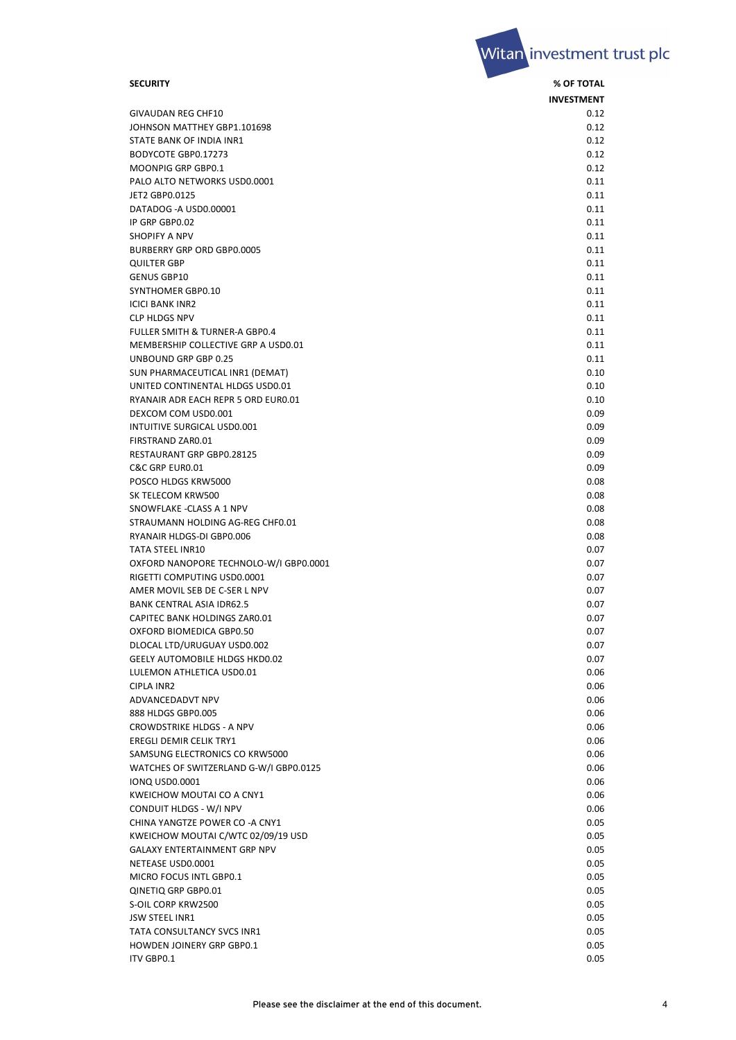**itan** investment trust plc

## **SECURITY % OF TOTAL INVESTMENT** GIVAUDAN REG CHF10 0.12 JOHNSON MATTHEY GBP1.101698 0.12 STATE BANK OF INDIA INR1 0.12 BODYCOTE GBP0.17273 0.12 MOONPIG GRP GBP0.1  $\qquad \qquad$  0.12 PALO ALTO NETWORKS USD0.0001 0.11  $JET2$  GBP0.0125 0.11 DATADOG -A USD0.00001 0.11  $IP$  GRP GBP0.02 0.11 SHOPIFY A NPV 0.11 BURBERRY GRP ORD GBP0.0005 0.11 QUILTER GBP 0.11 GENUS GBP10 0.11 SYNTHOMER GBP0.10 0.11 **ICICI BANK INR2** 0.11 CLP HLDGS NPV 0.11 FULLER SMITH & TURNER-A GBP0.4 0.11 MEMBERSHIP COLLECTIVE GRP A USD0.01 0.11 0.11 0.11 UNBOUND GRP GBP  $0.25$  0.11 SUN PHARMACEUTICAL INR1 (DEMAT) 0.10 UNITED CONTINENTAL HLDGS USD0.01 0.10 RYANAIR ADR EACH REPR 5 ORD EUR0.01 0.10 DEXCOM COM USD0.001 0.09 INTUITIVE SURGICAL USD0.001 0.09 FIRSTRAND ZAR0.01 **0.09** 0.09 RESTAURANT GRP GBP0.28125 **0.09** C&C GRP EUR0.01 0.09 POSCO HLDGS KRW5000 0.08 SK TELECOM KRW500 0.08 SNOWFLAKE -CLASS A 1 NPV 0.08 STRAUMANN HOLDING AG-REG CHF0.01 0.08 RYANAIR HLDGS-DI GBP0.006 0.08 TATA STEEL INR10 0.07 OXFORD NANOPORE TECHNOLO-W/I GBP0.0001 0.07 RIGETTI COMPUTING USD0.0001 0.07 AMER MOVIL SEB DE C-SER L NPV 0.07 BANK CENTRAL ASIA IDR62.5 0.07 CAPITEC BANK HOLDINGS ZAR0.01 0.07 OXFORD BIOMEDICA GBP0.50 0.07 DLOCAL LTD/URUGUAY USD0.002 0.07 GEELY AUTOMOBILE HLDGS HKD0.02 0.07 0.07 LULEMON ATHLETICA USD0.01 0.06 CIPLA INR2 0.06 ADVANCEDADVT NPV 0.06 888 HLDGS GBP0.005 0.06 CROWDSTRIKE HLDGS - A NPV 0.06 EREGLI DEMIR CELIK TRY1 0.06 SAMSUNG ELECTRONICS CO KRW5000 0.06 WATCHES OF SWITZERLAND G-W/I GBP0.0125 0.06 IONO USD0.0001 0.06 KWEICHOW MOUTAL CO A CNY1 0.06 CONDUIT HLDGS - W/I NPV 0.06 CHINA YANGTZE POWER CO -A CNY1 0.05

KWEICHOW MOUTAI C/WTC 02/09/19 USD 0.05 GALAXY ENTERTAINMENT GRP NPV 8 0.05 NETEASE USD0.0001 0.05 MICRO FOCUS INTL GBP0.1 0.05 QINETIQ GRP GBP0.01 0.05 S-OIL CORP KRW2500 0.05 **JSW STEEL INR1** 0.05 TATA CONSULTANCY SVCS INR1 0.05 HOWDEN JOINERY GRP GBP0.1 0.05  $ITV$  GBP0.1  $0.05$